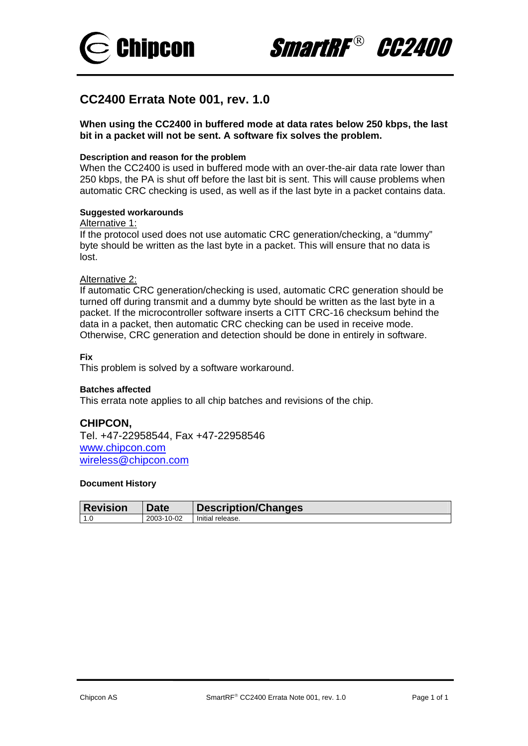



# **CC2400 Errata Note 001, rev. 1.0**

**When using the CC2400 in buffered mode at data rates below 250 kbps, the last bit in a packet will not be sent. A software fix solves the problem.** 

## **Description and reason for the problem**

When the CC2400 is used in buffered mode with an over-the-air data rate lower than 250 kbps, the PA is shut off before the last bit is sent. This will cause problems when automatic CRC checking is used, as well as if the last byte in a packet contains data.

## **Suggested workarounds**

#### Alternative 1:

If the protocol used does not use automatic CRC generation/checking, a "dummy" byte should be written as the last byte in a packet. This will ensure that no data is lost.

## Alternative 2:

If automatic CRC generation/checking is used, automatic CRC generation should be turned off during transmit and a dummy byte should be written as the last byte in a packet. If the microcontroller software inserts a CITT CRC-16 checksum behind the data in a packet, then automatic CRC checking can be used in receive mode. Otherwise, CRC generation and detection should be done in entirely in software.

## **Fix**

This problem is solved by a software workaround.

#### **Batches affected**

This errata note applies to all chip batches and revisions of the chip.

## **CHIPCON,**

Tel. +47-22958544, Fax +47-22958546 [www.chipcon.com](http://www.chipcon.com/) [wireless@chipcon.com](mailto:wireless@chipcon.com)

| ∣ Revision | Date       | <b>Description/Changes</b> |
|------------|------------|----------------------------|
| l 1.0      | 2003-10-02 | Initial release.           |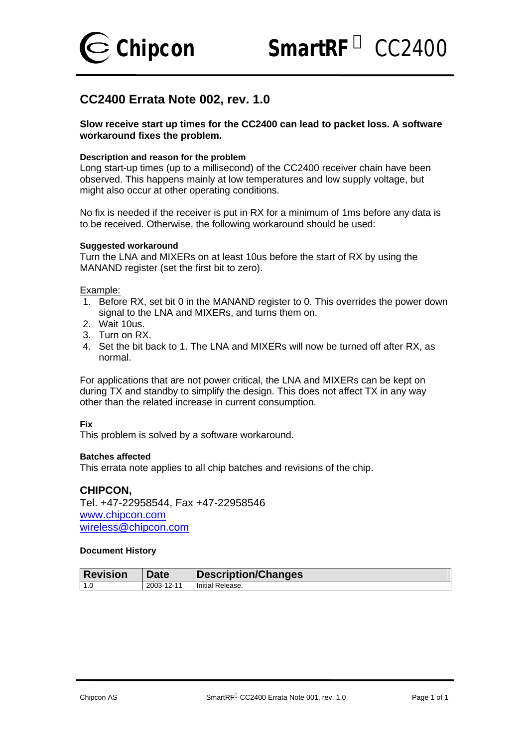

**Chipcon** *SmartRF CC2400*

# **CC2400 Errata Note 002, rev. 1.0**

# **Slow receive start up times for the CC2400 can lead to packet loss. A software workaround fixes the problem.**

## **Description and reason for the problem**

Long start-up times (up to a millisecond) of the CC2400 receiver chain have been observed. This happens mainly at low temperatures and low supply voltage, but might also occur at other operating conditions.

No fix is needed if the receiver is put in RX for a minimum of 1ms before any data is to be received. Otherwise, the following workaround should be used:

#### **Suggested workaround**

Turn the LNA and MIXERs on at least 10us before the start of RX by using the MANAND register (set the first bit to zero).

Example:

- 1. Before RX, set bit 0 in the MANAND register to 0. This overrides the power down signal to the LNA and MIXERs, and turns them on.
- 2. Wait 10us.
- 3. Turn on RX.
- 4. Set the bit back to 1. The LNA and MIXERs will now be turned off after RX, as normal.

For applications that are not power critical, the LNA and MIXERs can be kept on during TX and standby to simplify the design. This does not affect TX in any way other than the related increase in current consumption.

## **Fix**

This problem is solved by a software workaround.

#### **Batches affected**

This errata note applies to all chip batches and revisions of the chip.

# **CHIPCON,**

Tel. +47-22958544, Fax +47-22958546 www.chipcon.com wireless@chipcon.com

| <b>Revision</b> | Date       | Description/Changes |
|-----------------|------------|---------------------|
| $\vert$ 1.0     | 2003-12-11 | Initial Release.    |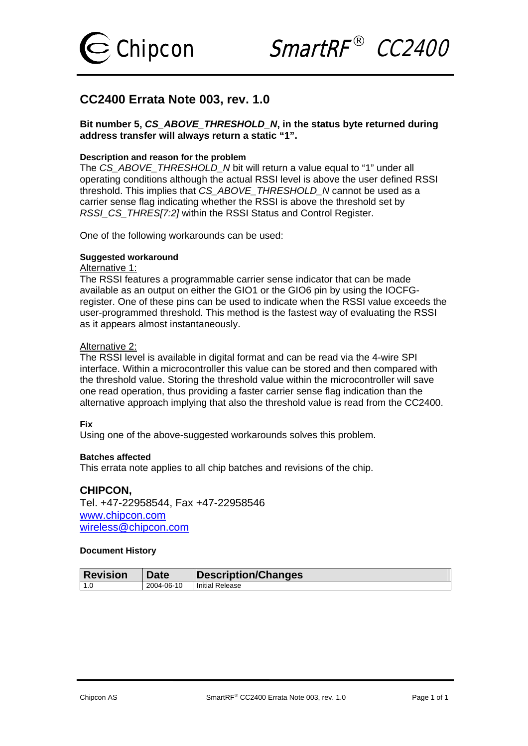

Chipcon SmartRF<sup>®</sup> CC2400

# **CC2400 Errata Note 003, rev. 1.0**

**Bit number 5,** *CS\_ABOVE\_THRESHOLD\_N***, in the status byte returned during address transfer will always return a static "1".** 

#### **Description and reason for the problem**

The *CS\_ABOVE\_THRESHOLD\_N* bit will return a value equal to "1" under all operating conditions although the actual RSSI level is above the user defined RSSI threshold. This implies that *CS\_ABOVE\_THRESHOLD\_N* cannot be used as a carrier sense flag indicating whether the RSSI is above the threshold set by *RSSI\_CS\_THRES[7:2]* within the RSSI Status and Control Register.

One of the following workarounds can be used:

## **Suggested workaround**

# Alternative 1:

The RSSI features a programmable carrier sense indicator that can be made available as an output on either the GIO1 or the GIO6 pin by using the IOCFGregister. One of these pins can be used to indicate when the RSSI value exceeds the user-programmed threshold. This method is the fastest way of evaluating the RSSI as it appears almost instantaneously.

# Alternative 2:

The RSSI level is available in digital format and can be read via the 4-wire SPI interface. Within a microcontroller this value can be stored and then compared with the threshold value. Storing the threshold value within the microcontroller will save one read operation, thus providing a faster carrier sense flag indication than the alternative approach implying that also the threshold value is read from the CC2400.

#### **Fix**

Using one of the above-suggested workarounds solves this problem.

#### **Batches affected**

This errata note applies to all chip batches and revisions of the chip.

## **CHIPCON,**

Tel. +47-22958544, Fax +47-22958546 [www.chipcon.com](http://www.chipcon.com/) [wireless@chipcon.com](mailto:wireless@chipcon.com)

| ∣ Revision  | Date       | <b>Description/Changes</b> |
|-------------|------------|----------------------------|
| 11 C<br>ں ا | 2004-06-10 | <b>Initial Release</b>     |